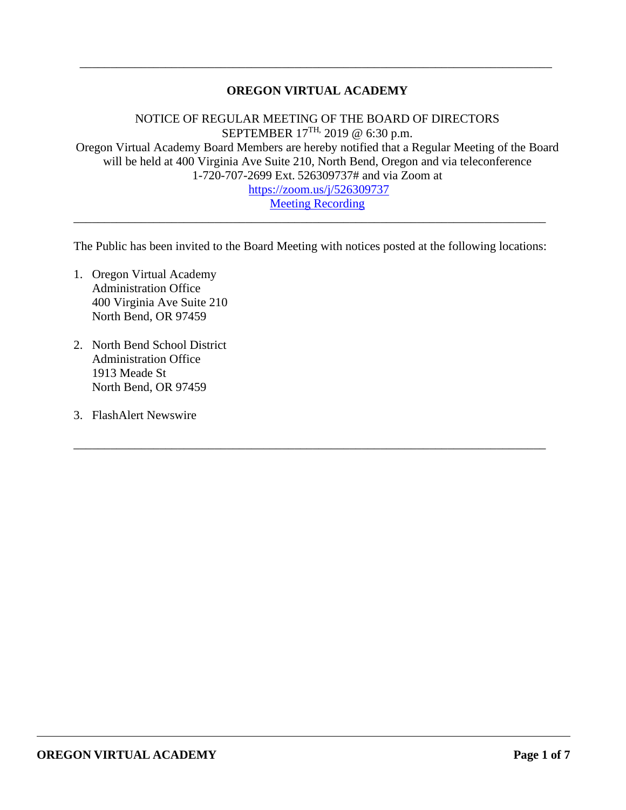## **OREGON VIRTUAL ACADEMY**

\_\_\_\_\_\_\_\_\_\_\_\_\_\_\_\_\_\_\_\_\_\_\_\_\_\_\_\_\_\_\_\_\_\_\_\_\_\_\_\_\_\_\_\_\_\_\_\_\_\_\_\_\_\_\_\_\_\_\_\_\_\_\_\_\_\_\_\_\_\_\_\_\_\_\_\_\_

NOTICE OF REGULAR MEETING OF THE BOARD OF DIRECTORS SEPTEMBER  $17^{TH}$ , 2019 @ 6:30 p.m. Oregon Virtual Academy Board Members are hereby notified that a Regular Meeting of the Board will be held at 400 Virginia Ave Suite 210, North Bend, Oregon and via teleconference 1-720-707-2699 Ext. 526309737# and via Zoom at <https://zoom.us/j/526309737>

[Meeting Recording](https://k12inc-my.sharepoint.com/:v:/g/personal/mecaldwell_oregonva_org/EaO4PK7TFlZHkqbrA0o3BtMB_D-2hjW9-fCeqRhfsUhYPQ?e=YvflFS)

The Public has been invited to the Board Meeting with notices posted at the following locations:

\_\_\_\_\_\_\_\_\_\_\_\_\_\_\_\_\_\_\_\_\_\_\_\_\_\_\_\_\_\_\_\_\_\_\_\_\_\_\_\_\_\_\_\_\_\_\_\_\_\_\_\_\_\_\_\_\_\_\_\_\_\_\_\_\_\_\_\_\_\_\_\_\_\_\_\_\_

\_\_\_\_\_\_\_\_\_\_\_\_\_\_\_\_\_\_\_\_\_\_\_\_\_\_\_\_\_\_\_\_\_\_\_\_\_\_\_\_\_\_\_\_\_\_\_\_\_\_\_\_\_\_\_\_\_\_\_\_\_\_\_\_\_\_\_\_\_\_\_\_\_\_\_\_\_

- 1. Oregon Virtual Academy Administration Office 400 Virginia Ave Suite 210 North Bend, OR 97459
- 2. North Bend School District Administration Office 1913 Meade St North Bend, OR 97459
- 3. FlashAlert Newswire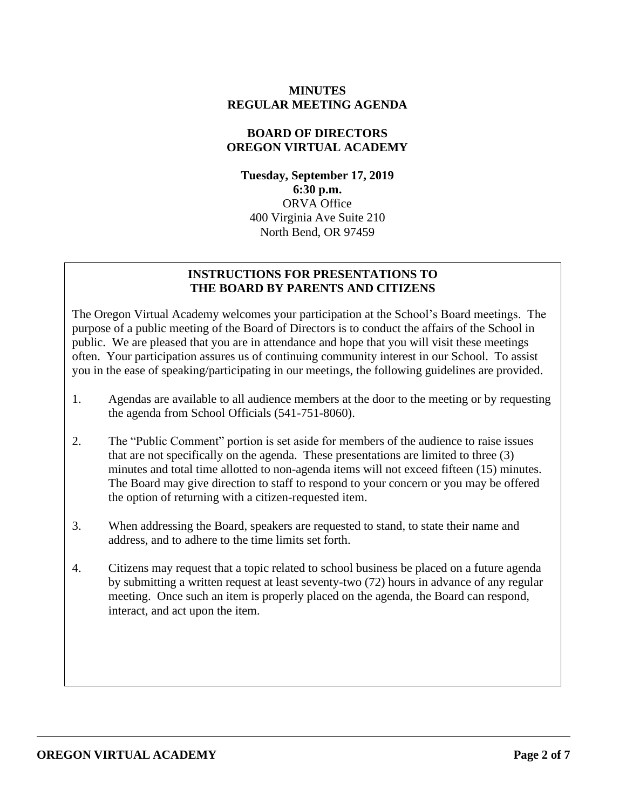### **MINUTES REGULAR MEETING AGENDA**

### **BOARD OF DIRECTORS OREGON VIRTUAL ACADEMY**

**Tuesday, September 17, 2019 6:30 p.m.** ORVA Office 400 Virginia Ave Suite 210 North Bend, OR 97459

### **INSTRUCTIONS FOR PRESENTATIONS TO THE BOARD BY PARENTS AND CITIZENS**

The Oregon Virtual Academy welcomes your participation at the School's Board meetings. The purpose of a public meeting of the Board of Directors is to conduct the affairs of the School in public. We are pleased that you are in attendance and hope that you will visit these meetings often. Your participation assures us of continuing community interest in our School. To assist you in the ease of speaking/participating in our meetings, the following guidelines are provided.

- 1. Agendas are available to all audience members at the door to the meeting or by requesting the agenda from School Officials (541-751-8060).
- 2. The "Public Comment" portion is set aside for members of the audience to raise issues that are not specifically on the agenda. These presentations are limited to three (3) minutes and total time allotted to non-agenda items will not exceed fifteen (15) minutes. The Board may give direction to staff to respond to your concern or you may be offered the option of returning with a citizen-requested item.
- 3. When addressing the Board, speakers are requested to stand, to state their name and address, and to adhere to the time limits set forth.
- 4. Citizens may request that a topic related to school business be placed on a future agenda by submitting a written request at least seventy-two (72) hours in advance of any regular meeting. Once such an item is properly placed on the agenda, the Board can respond, interact, and act upon the item.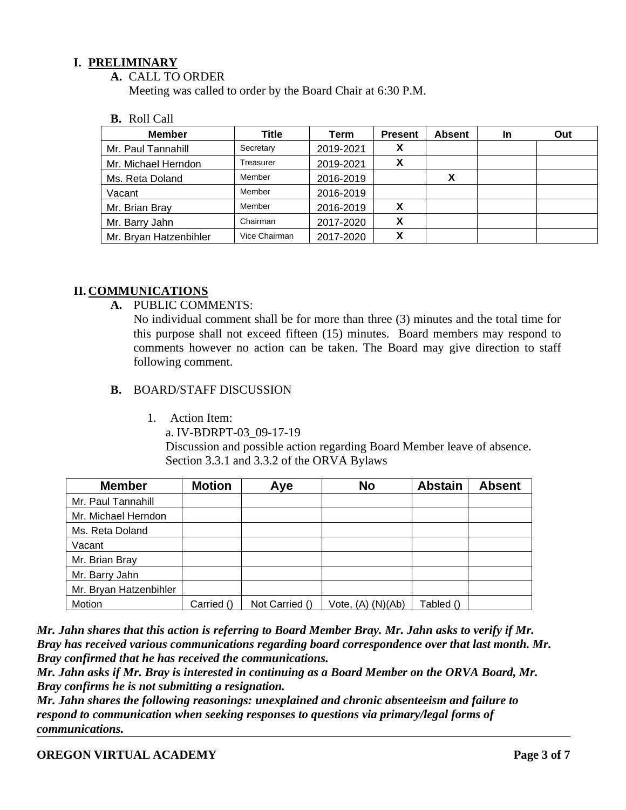### **I. PRELIMINARY**

**A.** CALL TO ORDER

Meeting was called to order by the Board Chair at 6:30 P.M.

**B.** Roll Call

| <b>Member</b>          | Title         | Term      | <b>Present</b> | <b>Absent</b> | In | Out |
|------------------------|---------------|-----------|----------------|---------------|----|-----|
| Mr. Paul Tannahill     | Secretary     | 2019-2021 |                |               |    |     |
| Mr. Michael Herndon    | Treasurer     | 2019-2021 | x              |               |    |     |
| Ms. Reta Doland        | Member        | 2016-2019 |                | X             |    |     |
| Vacant                 | Member        | 2016-2019 |                |               |    |     |
| Mr. Brian Bray         | Member        | 2016-2019 | X              |               |    |     |
| Mr. Barry Jahn         | Chairman      | 2017-2020 | X              |               |    |     |
| Mr. Bryan Hatzenbihler | Vice Chairman | 2017-2020 | v              |               |    |     |

### **II. COMMUNICATIONS**

**A.** PUBLIC COMMENTS:

No individual comment shall be for more than three (3) minutes and the total time for this purpose shall not exceed fifteen (15) minutes. Board members may respond to comments however no action can be taken. The Board may give direction to staff following comment.

### **B.** BOARD/STAFF DISCUSSION

1. Action Item:

a. IV-BDRPT-03\_09-17-19

Discussion and possible action regarding Board Member leave of absence. Section 3.3.1 and 3.3.2 of the ORVA Bylaws

| <b>Member</b>          | <b>Motion</b> | Aye            | <b>No</b>             | <b>Abstain</b> | <b>Absent</b> |
|------------------------|---------------|----------------|-----------------------|----------------|---------------|
| Mr. Paul Tannahill     |               |                |                       |                |               |
| Mr. Michael Herndon    |               |                |                       |                |               |
| Ms. Reta Doland        |               |                |                       |                |               |
| Vacant                 |               |                |                       |                |               |
| Mr. Brian Bray         |               |                |                       |                |               |
| Mr. Barry Jahn         |               |                |                       |                |               |
| Mr. Bryan Hatzenbihler |               |                |                       |                |               |
| Motion                 | Carried ()    | Not Carried () | Vote, $(A)$ $(N)(Ab)$ | Tabled ()      |               |

*Mr. Jahn shares that this action is referring to Board Member Bray. Mr. Jahn asks to verify if Mr. Bray has received various communications regarding board correspondence over that last month. Mr. Bray confirmed that he has received the communications.*

*Mr. Jahn asks if Mr. Bray is interested in continuing as a Board Member on the ORVA Board, Mr. Bray confirms he is not submitting a resignation.* 

*Mr. Jahn shares the following reasonings: unexplained and chronic absenteeism and failure to respond to communication when seeking responses to questions via primary/legal forms of communications.*

**OREGON VIRTUAL ACADEMY Page 3 of 7**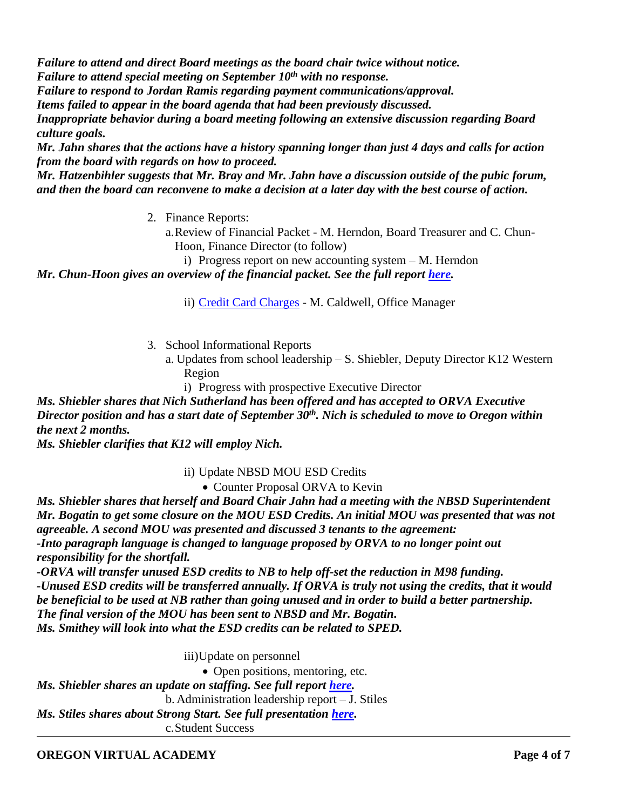*Failure to attend and direct Board meetings as the board chair twice without notice. Failure to attend special meeting on September 10th with no response.* 

*Failure to respond to Jordan Ramis regarding payment communications/approval.* 

*Items failed to appear in the board agenda that had been previously discussed.*

*Inappropriate behavior during a board meeting following an extensive discussion regarding Board culture goals.* 

*Mr. Jahn shares that the actions have a history spanning longer than just 4 days and calls for action from the board with regards on how to proceed.* 

*Mr. Hatzenbihler suggests that Mr. Bray and Mr. Jahn have a discussion outside of the pubic forum, and then the board can reconvene to make a decision at a later day with the best course of action.* 

2. Finance Reports:

a.Review of Financial Packet - M. Herndon, Board Treasurer and C. Chun-Hoon, Finance Director (to follow)

i) Progress report on new accounting system – M. Herndon

*Mr. Chun-Hoon gives an overview of the financial packet. See the full report [here.](https://k12inc-my.sharepoint.com/:p:/g/personal/mecaldwell_oregonva_org/EemStZW8gj1GiN7akJMtYrUBErY4SsnGQuU4rCyBmRny6A?e=pcchST)* 

ii) [Credit Card Charges](https://k12inc-my.sharepoint.com/:b:/g/personal/mecaldwell_oregonva_org/EQDi0erYQDJKs_3Zw2hNiY8B6QKdRfayElU3GtXrP_fk6g?e=JlkYQO) - M. Caldwell, Office Manager

- 3. School Informational Reports
	- a. Updates from school leadership S. Shiebler, Deputy Director K12 Western Region
		- i) Progress with prospective Executive Director

*Ms. Shiebler shares that Nich Sutherland has been offered and has accepted to ORVA Executive Director position and has a start date of September 30th . Nich is scheduled to move to Oregon within the next 2 months.* 

*Ms. Shiebler clarifies that K12 will employ Nich.*

ii) Update NBSD MOU ESD Credits

## • Counter Proposal ORVA to Kevin

*Ms. Shiebler shares that herself and Board Chair Jahn had a meeting with the NBSD Superintendent Mr. Bogatin to get some closure on the MOU ESD Credits. An initial MOU was presented that was not agreeable. A second MOU was presented and discussed 3 tenants to the agreement: -Into paragraph language is changed to language proposed by ORVA to no longer point out responsibility for the shortfall.*

-ORVA will transfer unused ESD credits to NB to help off-set the reduction in M98 funding. *-Unused ESD credits will be transferred annually. If ORVA is truly not using the credits, that it would be beneficial to be used at NB rather than going unused and in order to build a better partnership. The final version of the MOU has been sent to NBSD and Mr. Bogatin. Ms. Smithey will look into what the ESD credits can be related to SPED.*

iii)Update on personnel

• Open positions, mentoring, etc.

*Ms. Shiebler shares an update on staffing. See full report [here.](https://k12inc-my.sharepoint.com/:p:/g/personal/mecaldwell_oregonva_org/ESZYLf3wc8tPlDKLIA92IxUBJ7YIDHVVEh9xNaiCBA0S8w?e=aitBN3)*

b. Administration leadership report – J. Stiles

*Ms. Stiles shares about Strong Start. See full presentation [here.](https://k12inc-my.sharepoint.com/:p:/g/personal/mecaldwell_oregonva_org/Ec5XKLUIoftOkllHPd-EfukBkIopfodEJLRxU0JmmnNPnA?e=tpsrP0)* 

c.Student Success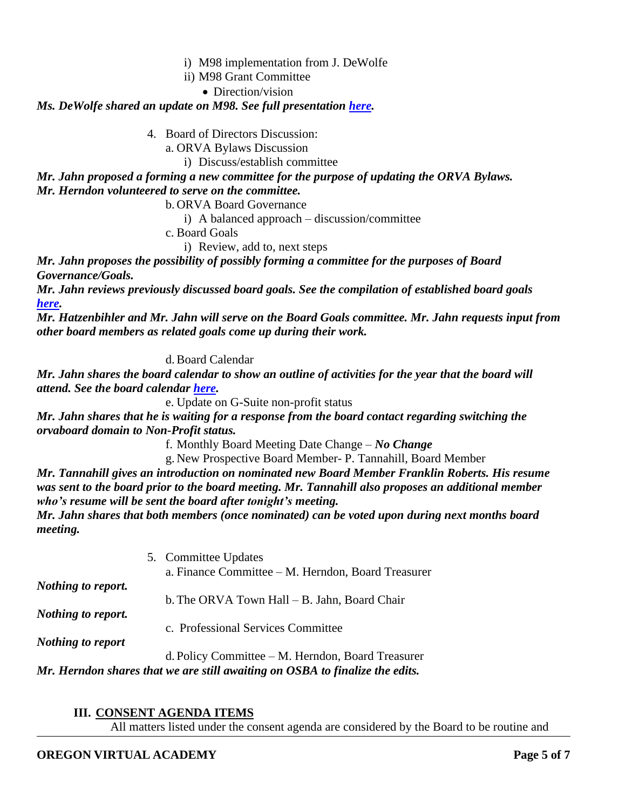- i) M98 implementation from J. DeWolfe
- ii) M98 Grant Committee
	- Direction/vision

#### *Ms. DeWolfe shared an update on M98. See full presentation [here.](https://k12inc-my.sharepoint.com/:p:/g/personal/mecaldwell_oregonva_org/Ec5XKLUIoftOkllHPd-EfukBkIopfodEJLRxU0JmmnNPnA?e=tpsrP0)*

4. Board of Directors Discussion:

a. ORVA Bylaws Discussion

i) Discuss/establish committee

*Mr. Jahn proposed a forming a new committee for the purpose of updating the ORVA Bylaws. Mr. Herndon volunteered to serve on the committee.* 

b. ORVA Board Governance

i) A balanced approach – discussion/committee

c. Board Goals

i) Review, add to, next steps

*Mr. Jahn proposes the possibility of possibly forming a committee for the purposes of Board Governance/Goals.* 

*Mr. Jahn reviews previously discussed board goals. See the compilation of established board goals [here.](https://k12inc-my.sharepoint.com/:b:/g/personal/mecaldwell_oregonva_org/EVeoHKCb65tEnkoiOkSXpEIBybtfR7QDBSeQZwqmLjn_cQ?e=Yd2WtK)*

*Mr. Hatzenbihler and Mr. Jahn will serve on the Board Goals committee. Mr. Jahn requests input from other board members as related goals come up during their work.*

d.Board Calendar

*Mr. Jahn shares the board calendar to show an outline of activities for the year that the board will attend. See the board calendar [here.](https://k12inc-my.sharepoint.com/:b:/g/personal/mecaldwell_oregonva_org/ET43-vun4thAjBilmKA95n4BMbKE1FiungRRNwjqZrLZYw?e=5wQXlN)* 

e. Update on G-Suite non-profit status

*Mr. Jahn shares that he is waiting for a response from the board contact regarding switching the orvaboard domain to Non-Profit status.* 

f. Monthly Board Meeting Date Change – *No Change*

g. New Prospective Board Member- P. Tannahill, Board Member

*Mr. Tannahill gives an introduction on nominated new Board Member Franklin Roberts. His resume was sent to the board prior to the board meeting. Mr. Tannahill also proposes an additional member who's resume will be sent the board after tonight's meeting.*

*Mr. Jahn shares that both members (once nominated) can be voted upon during next months board meeting.* 

5. Committee Updates a. Finance Committee – M. Herndon, Board Treasurer *Nothing to report.* b.The ORVA Town Hall – B. Jahn, Board Chair *Nothing to report.* c. Professional Services Committee *Nothing to report*

d. Policy Committee – M. Herndon, Board Treasurer *Mr. Herndon shares that we are still awaiting on OSBA to finalize the edits.* 

### **III. CONSENT AGENDA ITEMS**

All matters listed under the consent agenda are considered by the Board to be routine and

### **OREGON VIRTUAL ACADEMY Page 5 of 7**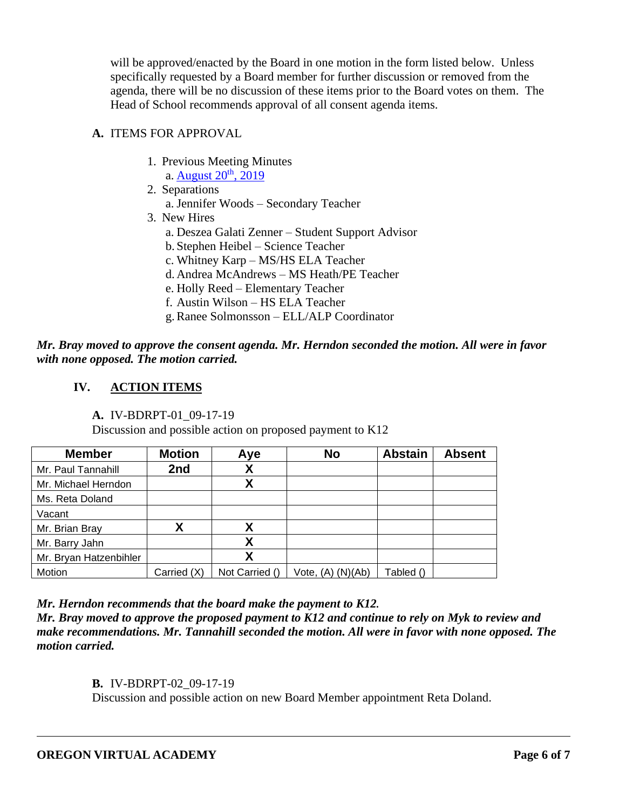will be approved/enacted by the Board in one motion in the form listed below. Unless specifically requested by a Board member for further discussion or removed from the agenda, there will be no discussion of these items prior to the Board votes on them. The Head of School recommends approval of all consent agenda items.

## **A.** ITEMS FOR APPROVAL

- 1. Previous Meeting Minutes
	- a. [August](https://k12inc-my.sharepoint.com/:b:/g/personal/mecaldwell_oregonva_org/Ea96wYRSKZJNnw1OFRN99zQBhJZK-JF2tmMVfyBongBsvQ?e=Xtfg1b)  $20<sup>th</sup>$ ,  $2019$
- 2. Separations
	- a. Jennifer Woods Secondary Teacher
- 3. New Hires
	- a. Deszea Galati Zenner Student Support Advisor
	- b. Stephen Heibel Science Teacher
	- c. Whitney Karp MS/HS ELA Teacher
	- d. Andrea McAndrews MS Heath/PE Teacher
	- e. Holly Reed Elementary Teacher
	- f. Austin Wilson HS ELA Teacher
	- g.Ranee Solmonsson ELL/ALP Coordinator

*Mr. Bray moved to approve the consent agenda. Mr. Herndon seconded the motion. All were in favor with none opposed. The motion carried.* 

# **IV. ACTION ITEMS**

**A.** IV-BDRPT-01\_09-17-19

Discussion and possible action on proposed payment to K12

| <b>Member</b>          | <b>Motion</b> | Aye            | <b>No</b>             | <b>Abstain</b> | <b>Absent</b> |
|------------------------|---------------|----------------|-----------------------|----------------|---------------|
| Mr. Paul Tannahill     | 2nd           | Χ              |                       |                |               |
| Mr. Michael Herndon    |               | χ              |                       |                |               |
| Ms. Reta Doland        |               |                |                       |                |               |
| Vacant                 |               |                |                       |                |               |
| Mr. Brian Bray         |               | χ              |                       |                |               |
| Mr. Barry Jahn         |               | χ              |                       |                |               |
| Mr. Bryan Hatzenbihler |               | χ              |                       |                |               |
| Motion                 | Carried (X)   | Not Carried () | Vote, $(A)$ $(N)(Ab)$ | Tabled ()      |               |

*Mr. Herndon recommends that the board make the payment to K12.*

*Mr. Bray moved to approve the proposed payment to K12 and continue to rely on Myk to review and make recommendations. Mr. Tannahill seconded the motion. All were in favor with none opposed. The motion carried.*

**B.** IV-BDRPT-02\_09-17-19

Discussion and possible action on new Board Member appointment Reta Doland.